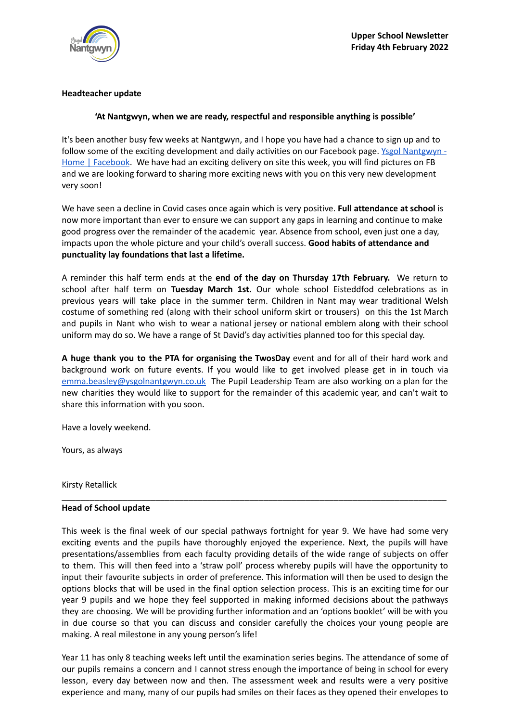

## **Headteacher update**

## **'At Nantgwyn, when we are ready, respectful and responsible anything is possible'**

It's been another busy few weeks at Nantgwyn, and I hope you have had a chance to sign up and to follow some of the exciting development and daily activities on our Facebook page. Ysgol [Nantgwyn](https://www.facebook.com/nantgwyn/) -Home | [Facebook](https://www.facebook.com/nantgwyn/). We have had an exciting delivery on site this week, you will find pictures on FB and we are looking forward to sharing more exciting news with you on this very new development very soon!

We have seen a decline in Covid cases once again which is very positive. **Full attendance at school** is now more important than ever to ensure we can support any gaps in learning and continue to make good progress over the remainder of the academic year. Absence from school, even just one a day, impacts upon the whole picture and your child's overall success. **Good habits of attendance and punctuality lay foundations that last a lifetime.**

A reminder this half term ends at the **end of the day on Thursday 17th February.** We return to school after half term on **Tuesday March 1st.** Our whole school Eisteddfod celebrations as in previous years will take place in the summer term. Children in Nant may wear traditional Welsh costume of something red (along with their school uniform skirt or trousers) on this the 1st March and pupils in Nant who wish to wear a national jersey or national emblem along with their school uniform may do so. We have a range of St David's day activities planned too for this special day.

**A huge thank you to the PTA for organising the TwosDay** event and for all of their hard work and background work on future events. If you would like to get involved please get in in touch via [emma.beasley@ysgolnantgwyn.co.uk](mailto:emma.beasley@ysgolnantgwyn.co.uk) The Pupil Leadership Team are also working on a plan for the new charities they would like to support for the remainder of this academic year, and can't wait to share this information with you soon.

Have a lovely weekend.

Yours, as always

Kirsty Retallick

## **Head of School update**

This week is the final week of our special pathways fortnight for year 9. We have had some very exciting events and the pupils have thoroughly enjoyed the experience. Next, the pupils will have presentations/assemblies from each faculty providing details of the wide range of subjects on offer to them. This will then feed into a 'straw poll' process whereby pupils will have the opportunity to input their favourite subjects in order of preference. This information will then be used to design the options blocks that will be used in the final option selection process. This is an exciting time for our year 9 pupils and we hope they feel supported in making informed decisions about the pathways they are choosing. We will be providing further information and an 'options booklet' will be with you in due course so that you can discuss and consider carefully the choices your young people are making. A real milestone in any young person's life!

\_\_\_\_\_\_\_\_\_\_\_\_\_\_\_\_\_\_\_\_\_\_\_\_\_\_\_\_\_\_\_\_\_\_\_\_\_\_\_\_\_\_\_\_\_\_\_\_\_\_\_\_\_\_\_\_\_\_\_\_\_\_\_\_\_\_\_\_\_\_\_\_\_\_\_\_\_\_\_\_\_\_

Year 11 has only 8 teaching weeks left until the examination series begins. The attendance of some of our pupils remains a concern and I cannot stress enough the importance of being in school for every lesson, every day between now and then. The assessment week and results were a very positive experience and many, many of our pupils had smiles on their faces as they opened their envelopes to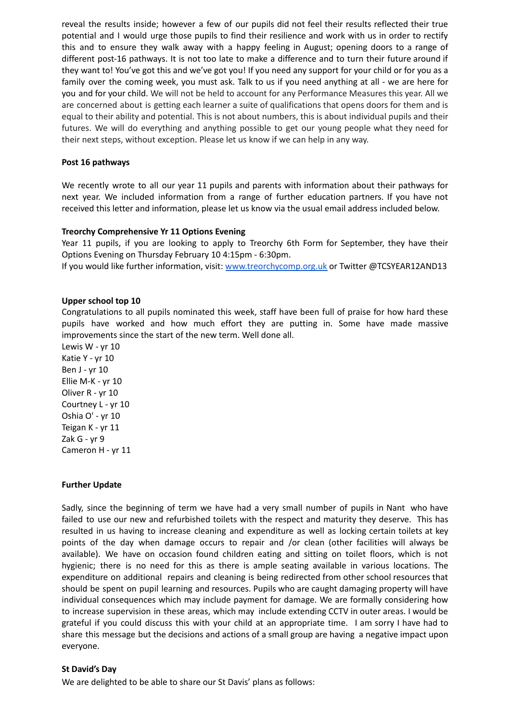reveal the results inside; however a few of our pupils did not feel their results reflected their true potential and I would urge those pupils to find their resilience and work with us in order to rectify this and to ensure they walk away with a happy feeling in August; opening doors to a range of different post-16 pathways. It is not too late to make a difference and to turn their future around if they want to! You've got this and we've got you! If you need any support for your child or for you as a family over the coming week, you must ask. Talk to us if you need anything at all - we are here for you and for your child. We will not be held to account for any Performance Measures this year. All we are concerned about is getting each learner a suite of qualifications that opens doors for them and is equal to their ability and potential. This is not about numbers, this is about individual pupils and their futures. We will do everything and anything possible to get our young people what they need for their next steps, without exception. Please let us know if we can help in any way.

### **Post 16 pathways**

We recently wrote to all our year 11 pupils and parents with information about their pathways for next year. We included information from a range of further education partners. If you have not received this letter and information, please let us know via the usual email address included below.

### **Treorchy Comprehensive Yr 11 Options Evening**

Year 11 pupils, if you are looking to apply to Treorchy 6th Form for September, they have their Options Evening on Thursday February 10 4:15pm - 6:30pm.

If you would like further information, visit: [www.treorchycomp.org.uk](http://www.treorchycomp.org.uk) or Twitter @TCSYEAR12AND13

### **Upper school top 10**

Congratulations to all pupils nominated this week, staff have been full of praise for how hard these pupils have worked and how much effort they are putting in. Some have made massive improvements since the start of the new term. Well done all.

Lewis W - yr 10 Katie Y - yr 10 Ben J - yr 10 Ellie M-K - yr 10 Oliver R - yr 10 Courtney L - yr 10 Oshia O' - yr 10 Teigan K - yr 11 Zak G - yr 9 Cameron H - yr 11

## **Further Update**

Sadly, since the beginning of term we have had a very small number of pupils in Nant who have failed to use our new and refurbished toilets with the respect and maturity they deserve. This has resulted in us having to increase cleaning and expenditure as well as locking certain toilets at key points of the day when damage occurs to repair and /or clean (other facilities will always be available). We have on occasion found children eating and sitting on toilet floors, which is not hygienic; there is no need for this as there is ample seating available in various locations. The expenditure on additional repairs and cleaning is being redirected from other school resources that should be spent on pupil learning and resources. Pupils who are caught damaging property will have individual consequences which may include payment for damage. We are formally considering how to increase supervision in these areas, which may include extending CCTV in outer areas. I would be grateful if you could discuss this with your child at an appropriate time. I am sorry I have had to share this message but the decisions and actions of a small group are having a negative impact upon everyone.

#### **St David's Day**

We are delighted to be able to share our St Davis' plans as follows: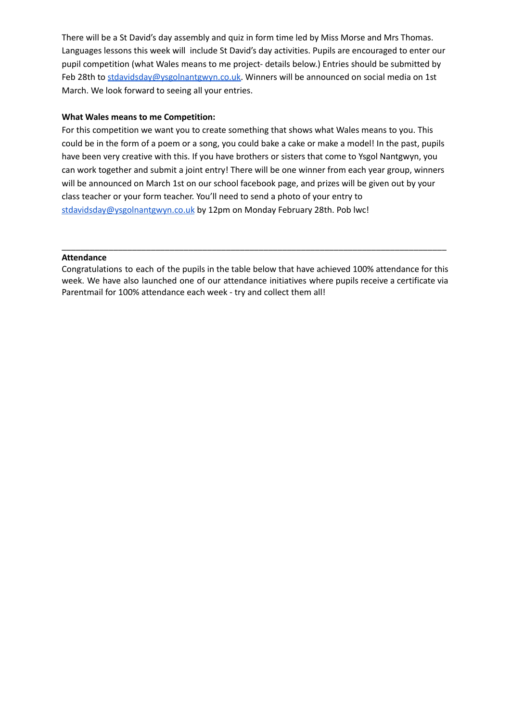There will be a St David's day assembly and quiz in form time led by Miss Morse and Mrs Thomas. Languages lessons this week will include St David's day activities. Pupils are encouraged to enter our pupil competition (what Wales means to me project- details below.) Entries should be submitted by Feb 28th to [stdavidsday@ysgolnantgwyn.co.uk.](mailto:stdavidsday@ysgolnantgwyn.co.uk) Winners will be announced on social media on 1st March. We look forward to seeing all your entries.

# **What Wales means to me Competition:**

For this competition we want you to create something that shows what Wales means to you. This could be in the form of a poem or a song, you could bake a cake or make a model! In the past, pupils have been very creative with this. If you have brothers or sisters that come to Ysgol Nantgwyn, you can work together and submit a joint entry! There will be one winner from each year group, winners will be announced on March 1st on our school facebook page, and prizes will be given out by your class teacher or your form teacher. You'll need to send a photo of your entry to [stdavidsday@ysgolnantgwyn.co.uk](mailto:stdavidsday@ysgolnantgwyn.co.uk) by 12pm on Monday February 28th. Pob lwc!

## **Attendance**

Congratulations to each of the pupils in the table below that have achieved 100% attendance for this week. We have also launched one of our attendance initiatives where pupils receive a certificate via Parentmail for 100% attendance each week - try and collect them all!

\_\_\_\_\_\_\_\_\_\_\_\_\_\_\_\_\_\_\_\_\_\_\_\_\_\_\_\_\_\_\_\_\_\_\_\_\_\_\_\_\_\_\_\_\_\_\_\_\_\_\_\_\_\_\_\_\_\_\_\_\_\_\_\_\_\_\_\_\_\_\_\_\_\_\_\_\_\_\_\_\_\_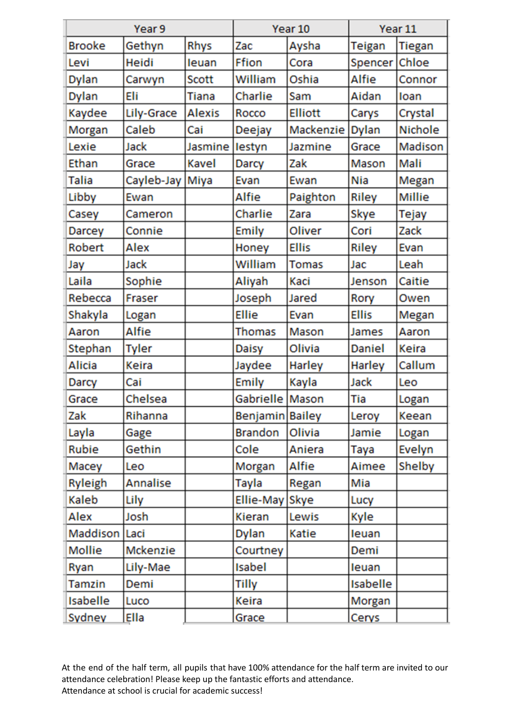| Year 9          |              |               | Year 10           |                | Year 11       |                |
|-----------------|--------------|---------------|-------------------|----------------|---------------|----------------|
| <b>Brooke</b>   | Gethyn       | Rhys          | Zac               | Aysha          | <b>Teigan</b> | Tiegan         |
| Levi            | Heidi        | leuan         | Ffion             | Cora           | Spencer Chloe |                |
| <b>Dylan</b>    | Carwyn       | <b>Scott</b>  | William           | Oshia          | Alfie         | Connor         |
| <b>Dylan</b>    | Eli          | Tiana         | Charlie           | Sam            | Aidan         | loan           |
| Kaydee          | Lily-Grace   | <b>Alexis</b> | Rocco             | <b>Elliott</b> | Carys         | Crystal        |
| Morgan          | Caleb        | Cai           | Deejay            | Mackenzie      | <b>Dylan</b>  | <b>Nichole</b> |
| Lexie           | Jack         | Jasmine       | lestyn            | Jazmine        | Grace         | Madison        |
| Ethan           | Grace        | <b>Kavel</b>  | Darcy             | Zak            | Mason         | Mali           |
| Talia           | Cayleb-Jay   | Miya          | Evan              | Ewan           | Nia           | Megan          |
| Libby           | Ewan         |               | Alfie             | Paighton       | <b>Riley</b>  | Millie         |
| Casey           | Cameron      |               | Charlie           | Zara           | Skye          | Tejay          |
| <b>Darcey</b>   | Connie       |               | Emily             | Oliver         | Cori          | Zack           |
| Robert          | Alex         |               | Honey             | <b>Ellis</b>   | <b>Riley</b>  | Evan           |
| Jay             | Jack         |               | William           | Tomas          | Jac           | Leah           |
| Laila           | Sophie       |               | Aliyah            | Kaci           | Jenson        | Caitie         |
| Rebecca         | Fraser       |               | Joseph            | Jared          | Rory          | Owen           |
| Shakyla         | Logan        |               | <b>Ellie</b>      | Evan           | <b>Ellis</b>  | Megan          |
| Aaron           | Alfie        |               | Thomas            | Mason          | James         | Aaron          |
| Stephan         | <b>Tyler</b> |               | <b>Daisy</b>      | Olivia         | Daniel        | Keira          |
| Alicia          | Keira        |               | Jaydee            | Harley         | Harley        | Callum         |
| <b>Darcy</b>    | Cai          |               | Emily             | Kayla          | Jack          | Leo            |
| Grace           | Chelsea      |               | Gabrielle   Mason |                | Tia           | Logan          |
| Zak             | Rihanna      |               | Benjamin Bailey   |                | Leroy         | Keean          |
| Layla           | Gage         |               | <b>Brandon</b>    | Olivia         | Jamie         | Logan          |
| Rubie           | Gethin       |               | Cole              | Aniera         | Taya          | Evelyn         |
| Macey           | Leo          |               | Morgan            | Alfie          | Aimee         | Shelby         |
| <b>Ryleigh</b>  | Annalise     |               | Tayla             | Regan          | Mia           |                |
| Kaleb           | Lily         |               | Ellie-May Skye    |                | Lucy          |                |
| Alex            | Josh         |               | <b>Kieran</b>     | Lewis          | Kyle          |                |
| Maddison Laci   |              |               | <b>Dylan</b>      | Katie          | leuan         |                |
| Mollie          | Mckenzie     |               | Courtney          |                | Demi          |                |
| Ryan            | Lily-Mae     |               | Isabel            |                | leuan         |                |
| Tamzin          | Demi         |               | <b>Tilly</b>      |                | Isabelle      |                |
| <b>Isabelle</b> | Luco         |               | Keira             |                | Morgan        |                |
| Sydney          | Ella         |               | Grace             |                | Cerys         |                |

At the end of the half term, all pupils that have 100% attendance for the half term are invited to our attendance celebration! Please keep up the fantastic efforts and attendance. Attendance at school is crucial for academic success!